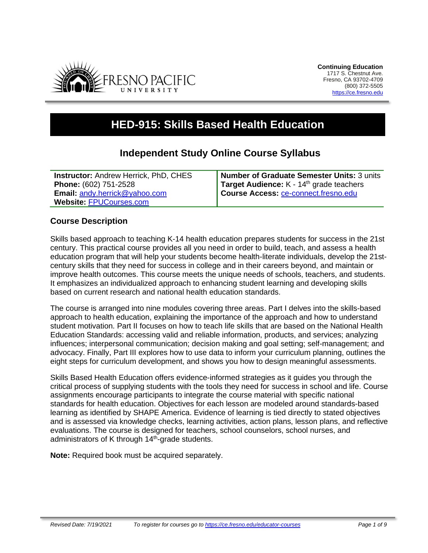

# **HED-915: Skills Based Health Education**

## **Independent Study Online Course Syllabus**

**Instructor:** Andrew Herrick, PhD, CHES **Phone:** (602) 751-2528 **Email:** [andy.herrick@yahoo.com](mailto:andy.herrick@yahoo.com) **Website:** [FPUCourses.com](http://www.fpucourses.com/)

**Number of Graduate Semester Units:** 3 units Target Audience: K - 14<sup>th</sup> grade teachers **Course Access:** [ce-connect.fresno.edu](https://ce-connect.fresno.edu/)

## **Course Description**

Skills based approach to teaching K-14 health education prepares students for success in the 21st century. This practical course provides all you need in order to build, teach, and assess a health education program that will help your students become health-literate individuals, develop the 21stcentury skills that they need for success in college and in their careers beyond, and maintain or improve health outcomes. This course meets the unique needs of schools, teachers, and students. It emphasizes an individualized approach to enhancing student learning and developing skills based on current research and national health education standards.

The course is arranged into nine modules covering three areas. Part I delves into the skills-based approach to health education, explaining the importance of the approach and how to understand student motivation. Part II focuses on how to teach life skills that are based on the National Health Education Standards: accessing valid and reliable information, products, and services; analyzing influences; interpersonal communication; decision making and goal setting; self-management; and advocacy. Finally, Part III explores how to use data to inform your curriculum planning, outlines the eight steps for curriculum development, and shows you how to design meaningful assessments.

Skills Based Health Education offers evidence-informed strategies as it guides you through the critical process of supplying students with the tools they need for success in school and life. Course assignments encourage participants to integrate the course material with specific national standards for health education. Objectives for each lesson are modeled around standards-based learning as identified by SHAPE America. Evidence of learning is tied directly to stated objectives and is assessed via knowledge checks, learning activities, action plans, lesson plans, and reflective evaluations. The course is designed for teachers, school counselors, school nurses, and administrators of K through 14<sup>th</sup>-grade students.

**Note:** Required book must be acquired separately.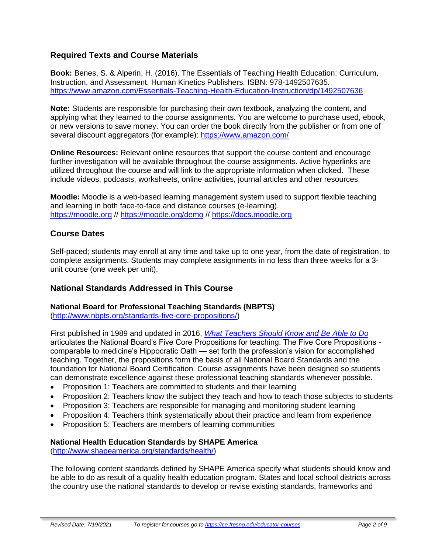## **Required Texts and Course Materials**

**Book:** Benes, S. & Alperin, H. (2016). The Essentials of Teaching Health Education: Curriculum, Instruction, and Assessment. Human Kinetics Publishers. ISBN: 978-1492507635. https://www.amazon.com/Essentials-Teaching-Health-Education-Instruction/dp/1492507636

**Note:** Students are responsible for purchasing their own textbook, analyzing the content, and applying what they learned to the course assignments. You are welcome to purchase used, ebook, or new versions to save money. You can order the book directly from the publisher or from one of several discount aggregators (for example):<https://www.amazon.com/>

**Online Resources:** Relevant online resources that support the course content and encourage further investigation will be available throughout the course assignments. Active hyperlinks are utilized throughout the course and will link to the appropriate information when clicked. These include videos, podcasts, worksheets, online activities, journal articles and other resources.

**Moodle:** Moodle is a web-based learning management system used to support flexible teaching and learning in both face-to-face and distance courses (e-learning). [https://moodle.org](https://moodle.org/) // <https://moodle.org/demo> // [https://docs.moodle.org](https://docs.moodle.org/)

## **Course Dates**

Self-paced; students may enroll at any time and take up to one year, from the date of registration, to complete assignments. Students may complete assignments in no less than three weeks for a 3 unit course (one week per unit).

#### **National Standards Addressed in This Course**

#### **National Board for Professional Teaching Standards (NBPTS)**

[\(http://www.nbpts.org/standards-five-core-propositions/\)](http://www.nbpts.org/standards-five-core-propositions/)

First published in 1989 and updated in 2016, *[What Teachers Should Know and Be Able to Do](http://www.accomplishedteacher.org/)* articulates the National Board's Five Core Propositions for teaching. The Five Core Propositions comparable to medicine's Hippocratic Oath — set forth the profession's vision for accomplished teaching. Together, the propositions form the basis of all National Board Standards and the foundation for National Board Certification. Course assignments have been designed so students can demonstrate excellence against these professional teaching standards whenever possible.

- Proposition 1: Teachers are committed to students and their learning
- Proposition 2: Teachers know the subject they teach and how to teach those subjects to students
- Proposition 3: Teachers are responsible for managing and monitoring student learning
- Proposition 4: Teachers think systematically about their practice and learn from experience
- Proposition 5: Teachers are members of learning communities

#### **National Health Education Standards by SHAPE America**

[\(http://www.shapeamerica.org/standards/health/\)](http://www.shapeamerica.org/standards/health/)

The following content standards defined by SHAPE America specify what students should know and be able to do as result of a quality health education program. States and local school districts across the country use the national standards to develop or revise existing standards, frameworks and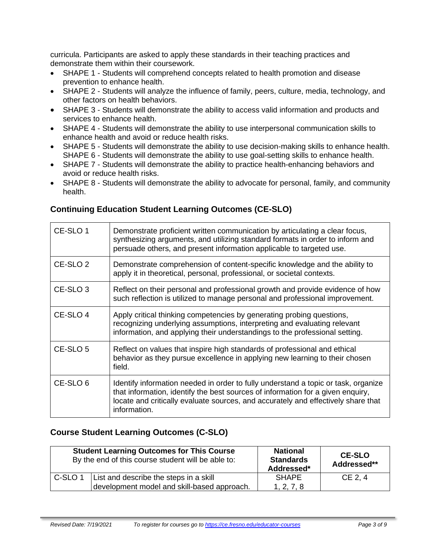curricula. Participants are asked to apply these standards in their teaching practices and demonstrate them within their coursework.

- SHAPE 1 Students will comprehend concepts related to health promotion and disease prevention to enhance health.
- SHAPE 2 Students will analyze the influence of family, peers, culture, media, technology, and other factors on health behaviors.
- SHAPE 3 Students will demonstrate the ability to access valid information and products and services to enhance health.
- SHAPE 4 Students will demonstrate the ability to use interpersonal communication skills to enhance health and avoid or reduce health risks.
- SHAPE 5 Students will demonstrate the ability to use decision-making skills to enhance health. SHAPE 6 - Students will demonstrate the ability to use goal-setting skills to enhance health.
- SHAPE 7 Students will demonstrate the ability to practice health-enhancing behaviors and avoid or reduce health risks.
- SHAPE 8 Students will demonstrate the ability to advocate for personal, family, and community health.

## **Continuing Education Student Learning Outcomes (CE-SLO)**

| CE-SLO 1            | Demonstrate proficient written communication by articulating a clear focus,<br>synthesizing arguments, and utilizing standard formats in order to inform and<br>persuade others, and present information applicable to targeted use.                                       |
|---------------------|----------------------------------------------------------------------------------------------------------------------------------------------------------------------------------------------------------------------------------------------------------------------------|
| CE-SLO <sub>2</sub> | Demonstrate comprehension of content-specific knowledge and the ability to<br>apply it in theoretical, personal, professional, or societal contexts.                                                                                                                       |
| CE-SLO <sub>3</sub> | Reflect on their personal and professional growth and provide evidence of how<br>such reflection is utilized to manage personal and professional improvement.                                                                                                              |
| CE-SLO 4            | Apply critical thinking competencies by generating probing questions,<br>recognizing underlying assumptions, interpreting and evaluating relevant<br>information, and applying their understandings to the professional setting.                                           |
| CE-SLO <sub>5</sub> | Reflect on values that inspire high standards of professional and ethical<br>behavior as they pursue excellence in applying new learning to their chosen<br>field.                                                                                                         |
| CE-SLO <sub>6</sub> | Identify information needed in order to fully understand a topic or task, organize<br>that information, identify the best sources of information for a given enquiry,<br>locate and critically evaluate sources, and accurately and effectively share that<br>information. |

#### **Course Student Learning Outcomes (C-SLO)**

|         | <b>Student Learning Outcomes for This Course</b><br>By the end of this course student will be able to: | <b>National</b><br><b>Standards</b><br>Addressed* | <b>CE-SLO</b><br>Addressed** |
|---------|--------------------------------------------------------------------------------------------------------|---------------------------------------------------|------------------------------|
| C-SLO 1 | List and describe the steps in a skill<br>development model and skill-based approach.                  | <b>SHAPE</b><br>1, 2, 7, 8                        | $CE$ 2.4                     |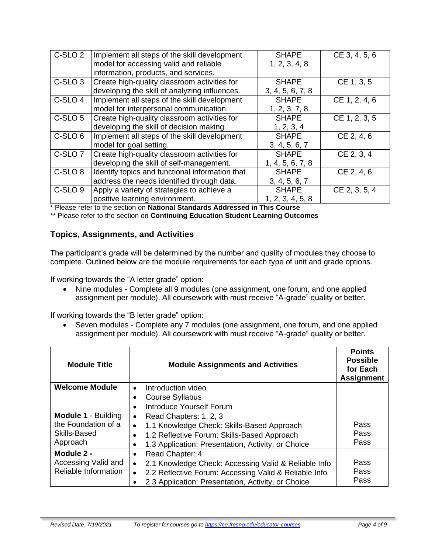| C-SLO <sub>2</sub> | Implement all steps of the skill development    | <b>SHAPE</b>     | CE 3, 4, 5, 6 |
|--------------------|-------------------------------------------------|------------------|---------------|
|                    | model for accessing valid and reliable          | 1, 2, 3, 4, 8    |               |
|                    | information, products, and services.            |                  |               |
| C-SLO <sub>3</sub> | Create high-quality classroom activities for    | <b>SHAPE</b>     | CE 1, 3, 5    |
|                    | developing the skill of analyzing influences.   | 3, 4, 5, 6, 7, 8 |               |
| C-SLO 4            | Implement all steps of the skill development    | <b>SHAPE</b>     | CE 1, 2, 4, 6 |
|                    | model for interpersonal communication.          | 1, 2, 3, 7, 8    |               |
| C-SLO 5            | Create high-quality classroom activities for    | <b>SHAPE</b>     | CE 1, 2, 3, 5 |
|                    | developing the skill of decision making.        | 1, 2, 3, 4       |               |
| C-SLO <sub>6</sub> | Implement all steps of the skill development    | <b>SHAPE</b>     | CE 2, 4, 6    |
|                    | model for goal setting.                         | 3, 4, 5, 6, 7    |               |
| C-SLO <sub>7</sub> | Create high-quality classroom activities for    | <b>SHAPE</b>     | CE 2, 3, 4    |
|                    | developing the skill of self-management.        | 1, 4, 5, 6, 7, 8 |               |
| C-SLO <sub>8</sub> | Identify topics and functional information that | <b>SHAPE</b>     | CE 2, 4, 6    |
|                    | address the needs identified through data.      | 3, 4, 5, 6, 7    |               |
| C-SLO <sub>9</sub> | Apply a variety of strategies to achieve a      | <b>SHAPE</b>     | CE 2, 3, 5, 4 |
|                    | positive learning environment.                  | 1, 2, 3, 4, 5, 8 |               |

\* Please refer to the section on **National Standards Addressed in This Course**

\*\* Please refer to the section on **Continuing Education Student Learning Outcomes**

#### **Topics, Assignments, and Activities**

The participant's grade will be determined by the number and quality of modules they choose to complete. Outlined below are the module requirements for each type of unit and grade options.

If working towards the "A letter grade" option:

• Nine modules - Complete all 9 modules (one assignment, one forum, and one applied assignment per module). All coursework with must receive "A-grade" quality or better.

If working towards the "B letter grade" option:

• Seven modules - Complete any 7 modules (one assignment, one forum, and one applied assignment per module). All coursework with must receive "A-grade" quality or better.

| <b>Module Title</b>        | <b>Module Assignments and Activities</b>                           | <b>Points</b><br><b>Possible</b><br>for Each<br><b>Assignment</b> |
|----------------------------|--------------------------------------------------------------------|-------------------------------------------------------------------|
| <b>Welcome Module</b>      | Introduction video<br>$\bullet$                                    |                                                                   |
|                            | <b>Course Syllabus</b>                                             |                                                                   |
|                            | <b>Introduce Yourself Forum</b>                                    |                                                                   |
| <b>Module 1 - Building</b> | Read Chapters: 1, 2, 3<br>$\bullet$                                |                                                                   |
| the Foundation of a        | 1.1 Knowledge Check: Skills-Based Approach<br>$\bullet$            | Pass                                                              |
| Skills-Based               | 1.2 Reflective Forum: Skills-Based Approach                        | Pass                                                              |
| Approach                   | 1.3 Application: Presentation, Activity, or Choice                 | Pass                                                              |
| Module 2 -                 | Read Chapter: 4<br>$\bullet$                                       |                                                                   |
| Accessing Valid and        | 2.1 Knowledge Check: Accessing Valid & Reliable Info<br>$\bullet$  | Pass                                                              |
| Reliable Information       | 2.2 Reflective Forum: Accessing Valid & Reliable Info<br>$\bullet$ | Pass                                                              |
|                            | 2.3 Application: Presentation, Activity, or Choice                 | Pass                                                              |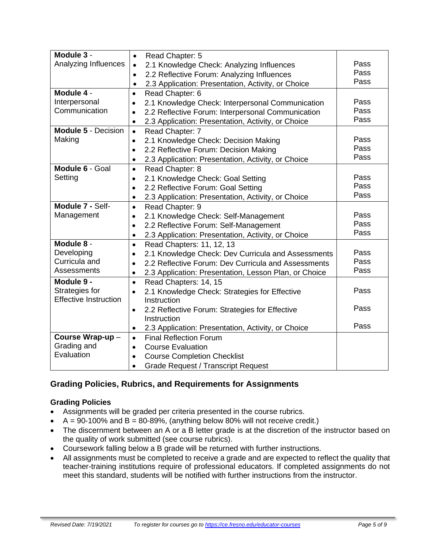| Module 3 -                   | $\bullet$                                              | Read Chapter: 5                                       |      |
|------------------------------|--------------------------------------------------------|-------------------------------------------------------|------|
| Analyzing Influences         | 2.1 Knowledge Check: Analyzing Influences<br>$\bullet$ |                                                       | Pass |
|                              | $\bullet$                                              | 2.2 Reflective Forum: Analyzing Influences            | Pass |
|                              | $\bullet$                                              | 2.3 Application: Presentation, Activity, or Choice    | Pass |
| Module 4 -                   | $\bullet$                                              | Read Chapter: 6                                       |      |
| Interpersonal                | $\bullet$                                              | 2.1 Knowledge Check: Interpersonal Communication      | Pass |
| Communication                | $\bullet$                                              | 2.2 Reflective Forum: Interpersonal Communication     | Pass |
|                              | $\bullet$                                              | 2.3 Application: Presentation, Activity, or Choice    | Pass |
| <b>Module 5 - Decision</b>   | $\bullet$                                              | Read Chapter: 7                                       |      |
| Making                       | $\bullet$                                              | 2.1 Knowledge Check: Decision Making                  | Pass |
|                              | $\bullet$                                              | 2.2 Reflective Forum: Decision Making                 | Pass |
|                              | $\bullet$                                              | 2.3 Application: Presentation, Activity, or Choice    | Pass |
| Module 6 - Goal              | $\bullet$                                              | Read Chapter: 8                                       |      |
| Setting                      | $\bullet$                                              | 2.1 Knowledge Check: Goal Setting                     | Pass |
|                              | $\bullet$                                              | 2.2 Reflective Forum: Goal Setting                    | Pass |
|                              | $\bullet$                                              | 2.3 Application: Presentation, Activity, or Choice    | Pass |
| Module 7 - Self-             | $\bullet$                                              | Read Chapter: 9                                       |      |
| Management                   | $\bullet$                                              | 2.1 Knowledge Check: Self-Management                  | Pass |
|                              | $\bullet$                                              | 2.2 Reflective Forum: Self-Management                 | Pass |
|                              | $\bullet$                                              | 2.3 Application: Presentation, Activity, or Choice    | Pass |
| Module 8 -                   | $\bullet$                                              | Read Chapters: 11, 12, 13                             |      |
| Developing                   | $\bullet$                                              | 2.1 Knowledge Check: Dev Curricula and Assessments    | Pass |
| Curricula and                | $\bullet$                                              | 2.2 Reflective Forum: Dev Curricula and Assessments   | Pass |
| Assessments                  | $\bullet$                                              | 2.3 Application: Presentation, Lesson Plan, or Choice | Pass |
| Module 9 -                   | $\bullet$                                              | Read Chapters: 14, 15                                 |      |
| Strategies for               | $\bullet$                                              | 2.1 Knowledge Check: Strategies for Effective         | Pass |
| <b>Effective Instruction</b> |                                                        | Instruction                                           |      |
|                              | $\bullet$                                              | 2.2 Reflective Forum: Strategies for Effective        | Pass |
|                              |                                                        | Instruction                                           |      |
|                              | $\bullet$                                              | 2.3 Application: Presentation, Activity, or Choice    | Pass |
| Course Wrap-up-              | $\bullet$                                              | <b>Final Reflection Forum</b>                         |      |
| Grading and                  | $\bullet$                                              | <b>Course Evaluation</b>                              |      |
| Evaluation                   | $\bullet$                                              | <b>Course Completion Checklist</b>                    |      |
|                              | $\bullet$                                              | <b>Grade Request / Transcript Request</b>             |      |

## **Grading Policies, Rubrics, and Requirements for Assignments**

#### **Grading Policies**

- Assignments will be graded per criteria presented in the course rubrics.
- $A = 90-100\%$  and  $B = 80-89\%$ , (anything below 80% will not receive credit.)
- The discernment between an A or a B letter grade is at the discretion of the instructor based on the quality of work submitted (see course rubrics).
- Coursework falling below a B grade will be returned with further instructions.
- All assignments must be completed to receive a grade and are expected to reflect the quality that teacher-training institutions require of professional educators. If completed assignments do not meet this standard, students will be notified with further instructions from the instructor.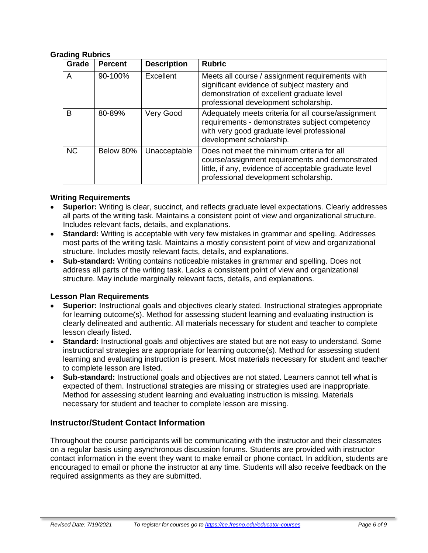#### **Grading Rubrics**

| Grade     | <b>Percent</b> | <b>Description</b> | <b>Rubric</b>                                                                                                                                                                                   |
|-----------|----------------|--------------------|-------------------------------------------------------------------------------------------------------------------------------------------------------------------------------------------------|
| A         | 90-100%        | Excellent          | Meets all course / assignment requirements with<br>significant evidence of subject mastery and<br>demonstration of excellent graduate level<br>professional development scholarship.            |
| B         | 80-89%         | Very Good          | Adequately meets criteria for all course/assignment<br>requirements - demonstrates subject competency<br>with very good graduate level professional<br>development scholarship.                 |
| <b>NC</b> | Below 80%      | Unacceptable       | Does not meet the minimum criteria for all<br>course/assignment requirements and demonstrated<br>little, if any, evidence of acceptable graduate level<br>professional development scholarship. |

#### **Writing Requirements**

- **Superior:** Writing is clear, succinct, and reflects graduate level expectations. Clearly addresses all parts of the writing task. Maintains a consistent point of view and organizational structure. Includes relevant facts, details, and explanations.
- **Standard:** Writing is acceptable with very few mistakes in grammar and spelling. Addresses most parts of the writing task. Maintains a mostly consistent point of view and organizational structure. Includes mostly relevant facts, details, and explanations.
- **Sub-standard:** Writing contains noticeable mistakes in grammar and spelling. Does not address all parts of the writing task. Lacks a consistent point of view and organizational structure. May include marginally relevant facts, details, and explanations.

#### **Lesson Plan Requirements**

- **Superior:** Instructional goals and objectives clearly stated. Instructional strategies appropriate for learning outcome(s). Method for assessing student learning and evaluating instruction is clearly delineated and authentic. All materials necessary for student and teacher to complete lesson clearly listed.
- **Standard:** Instructional goals and objectives are stated but are not easy to understand. Some instructional strategies are appropriate for learning outcome(s). Method for assessing student learning and evaluating instruction is present. Most materials necessary for student and teacher to complete lesson are listed.
- **Sub-standard:** Instructional goals and objectives are not stated. Learners cannot tell what is expected of them. Instructional strategies are missing or strategies used are inappropriate. Method for assessing student learning and evaluating instruction is missing. Materials necessary for student and teacher to complete lesson are missing.

#### **Instructor/Student Contact Information**

Throughout the course participants will be communicating with the instructor and their classmates on a regular basis using asynchronous discussion forums. Students are provided with instructor contact information in the event they want to make email or phone contact. In addition, students are encouraged to email or phone the instructor at any time. Students will also receive feedback on the required assignments as they are submitted.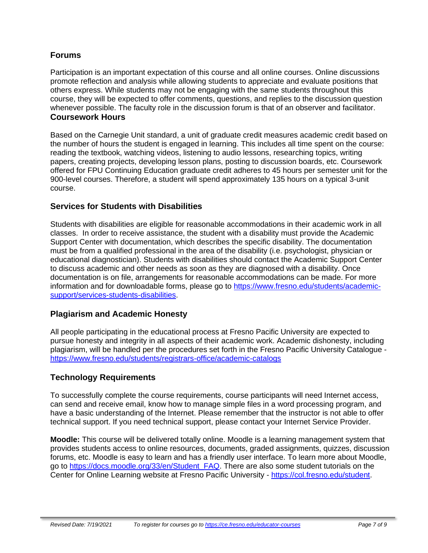#### **Forums**

Participation is an important expectation of this course and all online courses. Online discussions promote reflection and analysis while allowing students to appreciate and evaluate positions that others express. While students may not be engaging with the same students throughout this course, they will be expected to offer comments, questions, and replies to the discussion question whenever possible. The faculty role in the discussion forum is that of an observer and facilitator. **Coursework Hours**

Based on the Carnegie Unit standard, a unit of graduate credit measures academic credit based on the number of hours the student is engaged in learning. This includes all time spent on the course: reading the textbook, watching videos, listening to audio lessons, researching topics, writing papers, creating projects, developing lesson plans, posting to discussion boards, etc. Coursework offered for FPU Continuing Education graduate credit adheres to 45 hours per semester unit for the 900-level courses. Therefore, a student will spend approximately 135 hours on a typical 3-unit course.

#### **Services for Students with Disabilities**

Students with disabilities are eligible for reasonable accommodations in their academic work in all classes. In order to receive assistance, the student with a disability must provide the Academic Support Center with documentation, which describes the specific disability. The documentation must be from a qualified professional in the area of the disability (i.e. psychologist, physician or educational diagnostician). Students with disabilities should contact the Academic Support Center to discuss academic and other needs as soon as they are diagnosed with a disability. Once documentation is on file, arrangements for reasonable accommodations can be made. For more information and for downloadable forms, please go to [https://www.fresno.edu/students/academic](https://www.fresno.edu/students/academic-support/services-students-disabilities)[support/services-students-disabilities.](https://www.fresno.edu/students/academic-support/services-students-disabilities)

#### **Plagiarism and Academic Honesty**

All people participating in the educational process at Fresno Pacific University are expected to pursue honesty and integrity in all aspects of their academic work. Academic dishonesty, including plagiarism, will be handled per the procedures set forth in the Fresno Pacific University Catalogue <https://www.fresno.edu/students/registrars-office/academic-catalogs>

## **Technology Requirements**

To successfully complete the course requirements, course participants will need Internet access, can send and receive email, know how to manage simple files in a word processing program, and have a basic understanding of the Internet. Please remember that the instructor is not able to offer technical support. If you need technical support, please contact your Internet Service Provider.

**Moodle:** This course will be delivered totally online. Moodle is a learning management system that provides students access to online resources, documents, graded assignments, quizzes, discussion forums, etc. Moodle is easy to learn and has a friendly user interface. To learn more about Moodle, go to [https://docs.moodle.org/33/en/Student\\_FAQ.](https://docs.moodle.org/33/en/Student_FAQ) There are also some student tutorials on the Center for Online Learning website at Fresno Pacific University - [https://col.fresno.edu/student.](https://col.fresno.edu/student)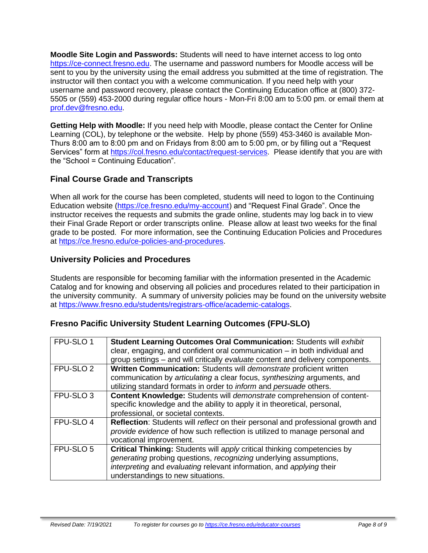**Moodle Site Login and Passwords:** Students will need to have internet access to log onto [https://ce-connect.fresno.edu.](https://ce-connect.fresno.edu/) The username and password numbers for Moodle access will be sent to you by the university using the email address you submitted at the time of registration. The instructor will then contact you with a welcome communication. If you need help with your username and password recovery, please contact the Continuing Education office at (800) 372- 5505 or (559) 453-2000 during regular office hours - Mon-Fri 8:00 am to 5:00 pm. or email them at [prof.dev@fresno.edu.](mailto:prof.dev@fresno.edu)

**Getting Help with Moodle:** If you need help with Moodle, please contact the Center for Online Learning (COL), by telephone or the website. Help by phone (559) 453-3460 is available Mon-Thurs 8:00 am to 8:00 pm and on Fridays from 8:00 am to 5:00 pm, or by filling out a "Request Services" form at [https://col.fresno.edu/contact/request-services.](https://col.fresno.edu/contact/request-services) Please identify that you are with the "School = Continuing Education".

## **Final Course Grade and Transcripts**

When all work for the course has been completed, students will need to logon to the Continuing Education website [\(https://ce.fresno.edu/my-account\)](https://ce.fresno.edu/my-account) and "Request Final Grade". Once the instructor receives the requests and submits the grade online, students may log back in to view their Final Grade Report or order transcripts online. Please allow at least two weeks for the final grade to be posted. For more information, see the Continuing Education Policies and Procedures at [https://ce.fresno.edu/ce-policies-and-procedures.](https://ce.fresno.edu/ce-policies-and-procedures)

## **University Policies and Procedures**

Students are responsible for becoming familiar with the information presented in the Academic Catalog and for knowing and observing all policies and procedures related to their participation in the university community. A summary of university policies may be found on the university website at [https://www.fresno.edu/students/registrars-office/academic-catalogs.](https://www.fresno.edu/students/registrars-office/academic-catalogs)

#### **Fresno Pacific University Student Learning Outcomes (FPU-SLO)**

| FPU-SLO 1            | Student Learning Outcomes Oral Communication: Students will exhibit              |
|----------------------|----------------------------------------------------------------------------------|
|                      | clear, engaging, and confident oral communication $-$ in both individual and     |
|                      | group settings - and will critically evaluate content and delivery components.   |
|                      |                                                                                  |
| FPU-SLO <sub>2</sub> | Written Communication: Students will demonstrate proficient written              |
|                      | communication by articulating a clear focus, synthesizing arguments, and         |
|                      | utilizing standard formats in order to <i>inform</i> and <i>persuade</i> others. |
| FPU-SLO <sub>3</sub> | Content Knowledge: Students will demonstrate comprehension of content-           |
|                      | specific knowledge and the ability to apply it in theoretical, personal,         |
|                      | professional, or societal contexts.                                              |
| FPU-SLO 4            | Reflection: Students will reflect on their personal and professional growth and  |
|                      | provide evidence of how such reflection is utilized to manage personal and       |
|                      | vocational improvement.                                                          |
| FPU-SLO 5            | Critical Thinking: Students will apply critical thinking competencies by         |
|                      | generating probing questions, recognizing underlying assumptions,                |
|                      | interpreting and evaluating relevant information, and applying their             |
|                      | understandings to new situations.                                                |
|                      |                                                                                  |